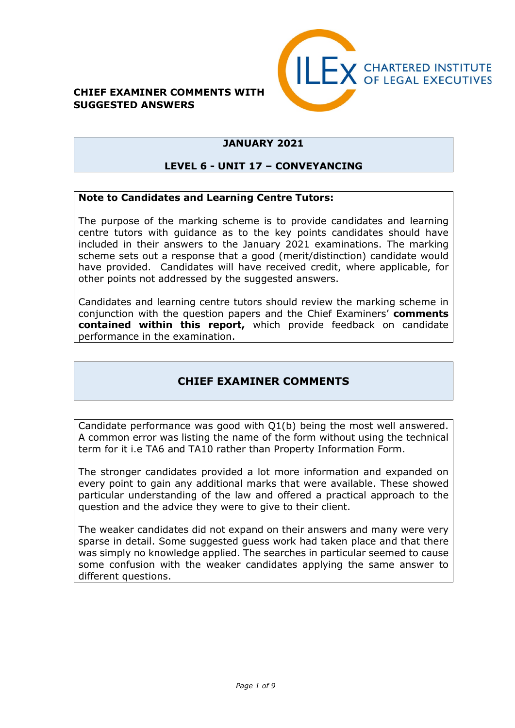#### **CHIEF EXAMINER COMMENTS WITH SUGGESTED ANSWERS**



## **JANUARY 2021**

#### **LEVEL 6 - UNIT 17 – CONVEYANCING**

#### **Note to Candidates and Learning Centre Tutors:**

The purpose of the marking scheme is to provide candidates and learning centre tutors with guidance as to the key points candidates should have included in their answers to the January 2021 examinations. The marking scheme sets out a response that a good (merit/distinction) candidate would have provided. Candidates will have received credit, where applicable, for other points not addressed by the suggested answers.

Candidates and learning centre tutors should review the marking scheme in conjunction with the question papers and the Chief Examiners' **comments contained within this report,** which provide feedback on candidate performance in the examination.

### **CHIEF EXAMINER COMMENTS**

Candidate performance was good with Q1(b) being the most well answered. A common error was listing the name of the form without using the technical term for it i.e TA6 and TA10 rather than Property Information Form.

The stronger candidates provided a lot more information and expanded on every point to gain any additional marks that were available. These showed particular understanding of the law and offered a practical approach to the question and the advice they were to give to their client.

The weaker candidates did not expand on their answers and many were very sparse in detail. Some suggested guess work had taken place and that there was simply no knowledge applied. The searches in particular seemed to cause some confusion with the weaker candidates applying the same answer to different questions.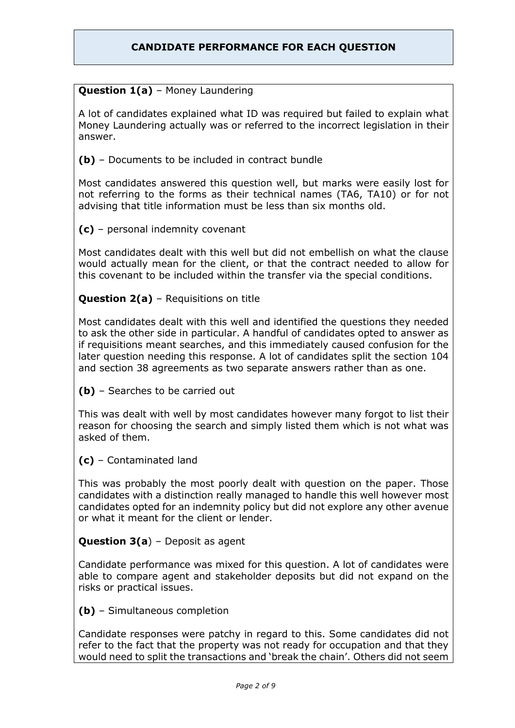### **CANDIDATE PERFORMANCE FOR EACH QUESTION**

#### **Question 1(a)** – Money Laundering

A lot of candidates explained what ID was required but failed to explain what Money Laundering actually was or referred to the incorrect legislation in their answer.

**(b)** – Documents to be included in contract bundle

Most candidates answered this question well, but marks were easily lost for not referring to the forms as their technical names (TA6, TA10) or for not advising that title information must be less than six months old.

**(c)** – personal indemnity covenant

Most candidates dealt with this well but did not embellish on what the clause would actually mean for the client, or that the contract needed to allow for this covenant to be included within the transfer via the special conditions.

#### **Question 2(a)** – Requisitions on title

Most candidates dealt with this well and identified the questions they needed to ask the other side in particular. A handful of candidates opted to answer as if requisitions meant searches, and this immediately caused confusion for the later question needing this response. A lot of candidates split the section 104 and section 38 agreements as two separate answers rather than as one.

**(b)** – Searches to be carried out

This was dealt with well by most candidates however many forgot to list their reason for choosing the search and simply listed them which is not what was asked of them.

**(c)** – Contaminated land

This was probably the most poorly dealt with question on the paper. Those candidates with a distinction really managed to handle this well however most candidates opted for an indemnity policy but did not explore any other avenue or what it meant for the client or lender.

#### **Question 3(a**) – Deposit as agent

Candidate performance was mixed for this question. A lot of candidates were able to compare agent and stakeholder deposits but did not expand on the risks or practical issues.

**(b)** – Simultaneous completion

Candidate responses were patchy in regard to this. Some candidates did not refer to the fact that the property was not ready for occupation and that they would need to split the transactions and 'break the chain'. Others did not seem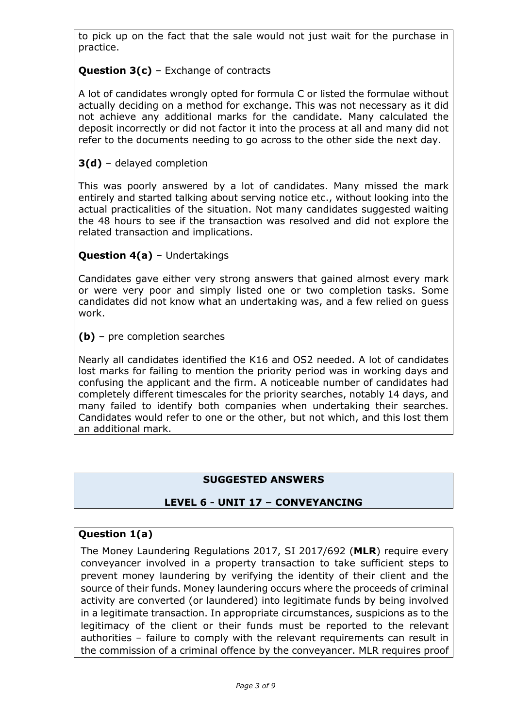to pick up on the fact that the sale would not just wait for the purchase in practice.

## **Question 3(c)** – Exchange of contracts

A lot of candidates wrongly opted for formula C or listed the formulae without actually deciding on a method for exchange. This was not necessary as it did not achieve any additional marks for the candidate. Many calculated the deposit incorrectly or did not factor it into the process at all and many did not refer to the documents needing to go across to the other side the next day.

## **3(d)** – delayed completion

This was poorly answered by a lot of candidates. Many missed the mark entirely and started talking about serving notice etc., without looking into the actual practicalities of the situation. Not many candidates suggested waiting the 48 hours to see if the transaction was resolved and did not explore the related transaction and implications.

### **Question 4(a)** – Undertakings

Candidates gave either very strong answers that gained almost every mark or were very poor and simply listed one or two completion tasks. Some candidates did not know what an undertaking was, and a few relied on guess work.

**(b)** – pre completion searches

Nearly all candidates identified the K16 and OS2 needed. A lot of candidates lost marks for failing to mention the priority period was in working days and confusing the applicant and the firm. A noticeable number of candidates had completely different timescales for the priority searches, notably 14 days, and many failed to identify both companies when undertaking their searches. Candidates would refer to one or the other, but not which, and this lost them an additional mark.

#### **SUGGESTED ANSWERS**

#### **LEVEL 6 - UNIT 17 – CONVEYANCING**

#### **Question 1(a)**

The Money Laundering Regulations 2017, SI 2017/692 (**MLR**) require every conveyancer involved in a property transaction to take sufficient steps to prevent money laundering by verifying the identity of their client and the source of their funds. Money laundering occurs where the proceeds of criminal activity are converted (or laundered) into legitimate funds by being involved in a legitimate transaction. In appropriate circumstances, suspicions as to the legitimacy of the client or their funds must be reported to the relevant authorities – failure to comply with the relevant requirements can result in the commission of a criminal offence by the conveyancer. MLR requires proof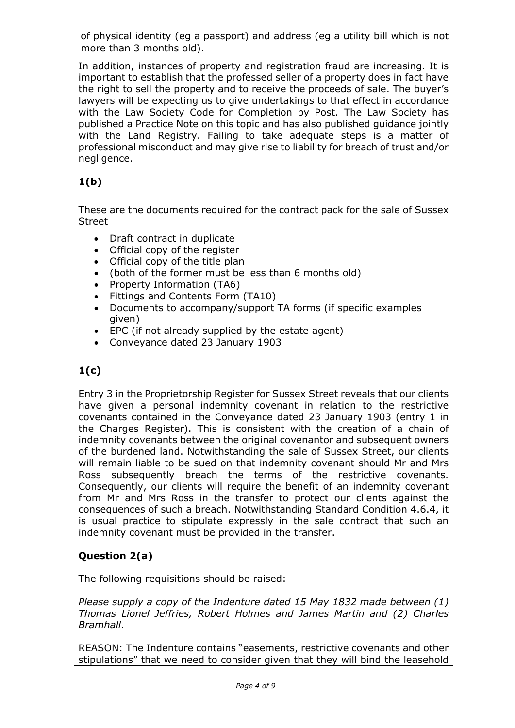of physical identity (eg a passport) and address (eg a utility bill which is not more than 3 months old).

In addition, instances of property and registration fraud are increasing. It is important to establish that the professed seller of a property does in fact have the right to sell the property and to receive the proceeds of sale. The buyer's lawyers will be expecting us to give undertakings to that effect in accordance with the Law Society Code for Completion by Post. The Law Society has published a Practice Note on this topic and has also published guidance jointly with the Land Registry. Failing to take adequate steps is a matter of professional misconduct and may give rise to liability for breach of trust and/or negligence.

# **1(b)**

These are the documents required for the contract pack for the sale of Sussex Street

- Draft contract in duplicate
- Official copy of the register
- Official copy of the title plan
- (both of the former must be less than 6 months old)
- Property Information (TA6)
- Fittings and Contents Form (TA10)
- Documents to accompany/support TA forms (if specific examples given)
- EPC (if not already supplied by the estate agent)
- Conveyance dated 23 January 1903

# **1(c)**

Entry 3 in the Proprietorship Register for Sussex Street reveals that our clients have given a personal indemnity covenant in relation to the restrictive covenants contained in the Conveyance dated 23 January 1903 (entry 1 in the Charges Register). This is consistent with the creation of a chain of indemnity covenants between the original covenantor and subsequent owners of the burdened land. Notwithstanding the sale of Sussex Street, our clients will remain liable to be sued on that indemnity covenant should Mr and Mrs Ross subsequently breach the terms of the restrictive covenants. Consequently, our clients will require the benefit of an indemnity covenant from Mr and Mrs Ross in the transfer to protect our clients against the consequences of such a breach. Notwithstanding Standard Condition 4.6.4, it is usual practice to stipulate expressly in the sale contract that such an indemnity covenant must be provided in the transfer.

### **Question 2(a)**

The following requisitions should be raised:

*Please supply a copy of the Indenture dated 15 May 1832 made between (1) Thomas Lionel Jeffries, Robert Holmes and James Martin and (2) Charles Bramhall*.

REASON: The Indenture contains "easements, restrictive covenants and other stipulations" that we need to consider given that they will bind the leasehold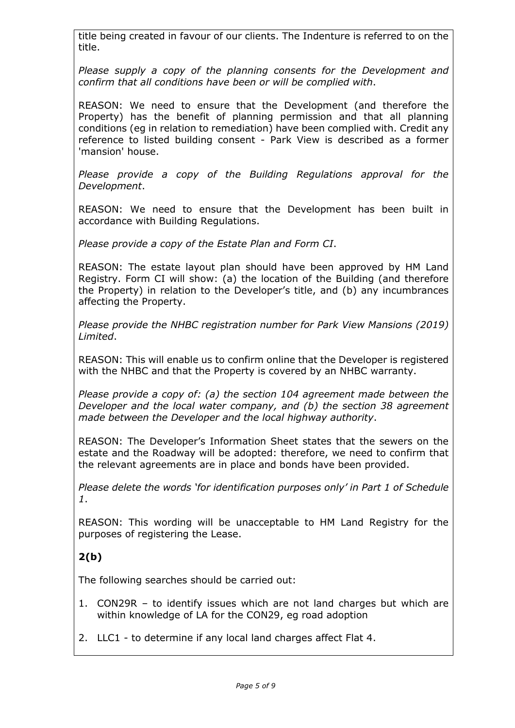title being created in favour of our clients. The Indenture is referred to on the title.

*Please supply a copy of the planning consents for the Development and confirm that all conditions have been or will be complied with*.

REASON: We need to ensure that the Development (and therefore the Property) has the benefit of planning permission and that all planning conditions (eg in relation to remediation) have been complied with. Credit any reference to listed building consent - Park View is described as a former 'mansion' house.

*Please provide a copy of the Building Regulations approval for the Development*.

REASON: We need to ensure that the Development has been built in accordance with Building Regulations.

*Please provide a copy of the Estate Plan and Form CI*.

REASON: The estate layout plan should have been approved by HM Land Registry. Form CI will show: (a) the location of the Building (and therefore the Property) in relation to the Developer's title, and (b) any incumbrances affecting the Property.

*Please provide the NHBC registration number for Park View Mansions (2019) Limited*.

REASON: This will enable us to confirm online that the Developer is registered with the NHBC and that the Property is covered by an NHBC warranty.

*Please provide a copy of: (a) the section 104 agreement made between the Developer and the local water company, and (b) the section 38 agreement made between the Developer and the local highway authority*.

REASON: The Developer's Information Sheet states that the sewers on the estate and the Roadway will be adopted: therefore, we need to confirm that the relevant agreements are in place and bonds have been provided.

*Please delete the words 'for identification purposes only' in Part 1 of Schedule 1*.

REASON: This wording will be unacceptable to HM Land Registry for the purposes of registering the Lease.

## **2(b)**

The following searches should be carried out:

- 1. CON29R to identify issues which are not land charges but which are within knowledge of LA for the CON29, eg road adoption
- 2. LLC1 to determine if any local land charges affect Flat 4.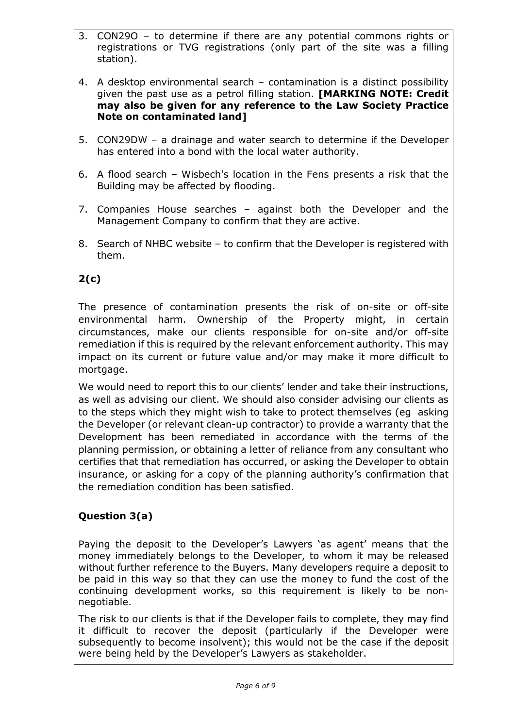- 3. CON29O to determine if there are any potential commons rights or registrations or TVG registrations (only part of the site was a filling station).
- 4. A desktop environmental search contamination is a distinct possibility given the past use as a petrol filling station. **[MARKING NOTE: Credit may also be given for any reference to the Law Society Practice Note on contaminated land]**
- 5. CON29DW a drainage and water search to determine if the Developer has entered into a bond with the local water authority.
- 6. A flood search Wisbech's location in the Fens presents a risk that the Building may be affected by flooding.
- 7. Companies House searches against both the Developer and the Management Company to confirm that they are active.
- 8. Search of NHBC website to confirm that the Developer is registered with them.

# **2(c)**

The presence of contamination presents the risk of on-site or off-site environmental harm. Ownership of the Property might, in certain circumstances, make our clients responsible for on-site and/or off-site remediation if this is required by the relevant enforcement authority. This may impact on its current or future value and/or may make it more difficult to mortgage.

We would need to report this to our clients' lender and take their instructions, as well as advising our client. We should also consider advising our clients as to the steps which they might wish to take to protect themselves (eg asking the Developer (or relevant clean-up contractor) to provide a warranty that the Development has been remediated in accordance with the terms of the planning permission, or obtaining a letter of reliance from any consultant who certifies that that remediation has occurred, or asking the Developer to obtain insurance, or asking for a copy of the planning authority's confirmation that the remediation condition has been satisfied.

## **Question 3(a)**

Paying the deposit to the Developer's Lawyers 'as agent' means that the money immediately belongs to the Developer, to whom it may be released without further reference to the Buyers. Many developers require a deposit to be paid in this way so that they can use the money to fund the cost of the continuing development works, so this requirement is likely to be nonnegotiable.

The risk to our clients is that if the Developer fails to complete, they may find it difficult to recover the deposit (particularly if the Developer were subsequently to become insolvent); this would not be the case if the deposit were being held by the Developer's Lawyers as stakeholder.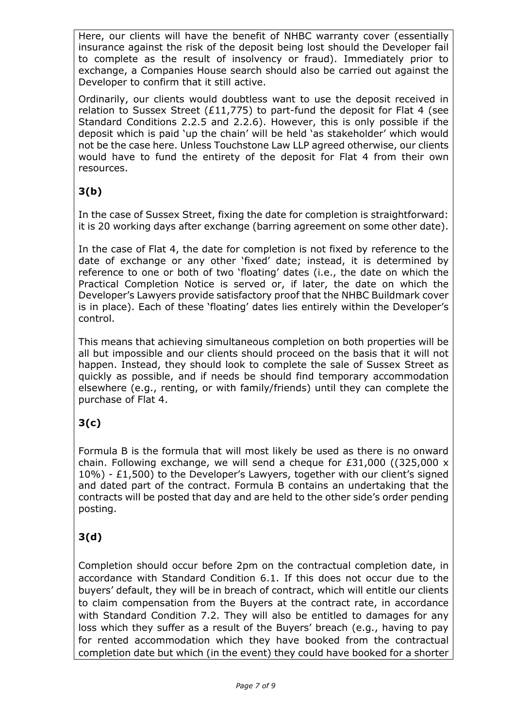Here, our clients will have the benefit of NHBC warranty cover (essentially insurance against the risk of the deposit being lost should the Developer fail to complete as the result of insolvency or fraud). Immediately prior to exchange, a Companies House search should also be carried out against the Developer to confirm that it still active.

Ordinarily, our clients would doubtless want to use the deposit received in relation to Sussex Street (£11,775) to part-fund the deposit for Flat 4 (see Standard Conditions 2.2.5 and 2.2.6). However, this is only possible if the deposit which is paid 'up the chain' will be held 'as stakeholder' which would not be the case here. Unless Touchstone Law LLP agreed otherwise, our clients would have to fund the entirety of the deposit for Flat 4 from their own resources.

# **3(b)**

In the case of Sussex Street, fixing the date for completion is straightforward: it is 20 working days after exchange (barring agreement on some other date).

In the case of Flat 4, the date for completion is not fixed by reference to the date of exchange or any other 'fixed' date; instead, it is determined by reference to one or both of two 'floating' dates (i.e., the date on which the Practical Completion Notice is served or, if later, the date on which the Developer's Lawyers provide satisfactory proof that the NHBC Buildmark cover is in place). Each of these 'floating' dates lies entirely within the Developer's control.

This means that achieving simultaneous completion on both properties will be all but impossible and our clients should proceed on the basis that it will not happen. Instead, they should look to complete the sale of Sussex Street as quickly as possible, and if needs be should find temporary accommodation elsewhere (e.g., renting, or with family/friends) until they can complete the purchase of Flat 4.

# **3(c)**

Formula B is the formula that will most likely be used as there is no onward chain. Following exchange, we will send a cheque for  $£31,000$  ((325,000 x 10%) - £1,500) to the Developer's Lawyers, together with our client's signed and dated part of the contract. Formula B contains an undertaking that the contracts will be posted that day and are held to the other side's order pending posting.

# **3(d)**

Completion should occur before 2pm on the contractual completion date, in accordance with Standard Condition 6.1. If this does not occur due to the buyers' default, they will be in breach of contract, which will entitle our clients to claim compensation from the Buyers at the contract rate, in accordance with Standard Condition 7.2. They will also be entitled to damages for any loss which they suffer as a result of the Buyers' breach (e.g., having to pay for rented accommodation which they have booked from the contractual completion date but which (in the event) they could have booked for a shorter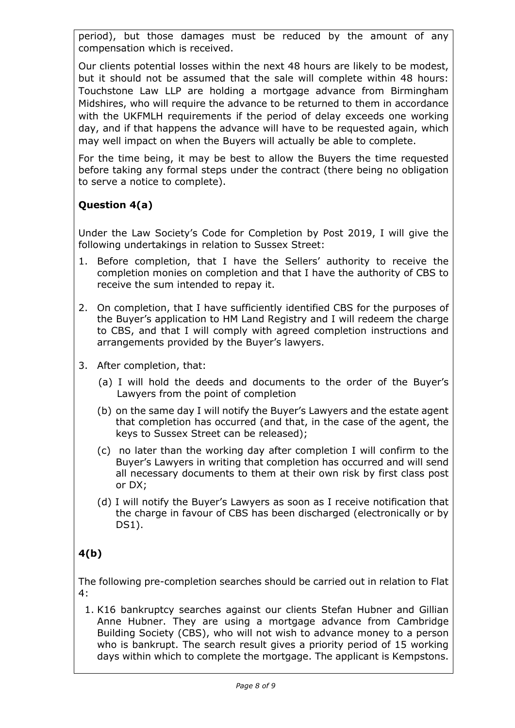period), but those damages must be reduced by the amount of any compensation which is received.

Our clients potential losses within the next 48 hours are likely to be modest, but it should not be assumed that the sale will complete within 48 hours: Touchstone Law LLP are holding a mortgage advance from Birmingham Midshires, who will require the advance to be returned to them in accordance with the UKFMLH requirements if the period of delay exceeds one working day, and if that happens the advance will have to be requested again, which may well impact on when the Buyers will actually be able to complete.

For the time being, it may be best to allow the Buyers the time requested before taking any formal steps under the contract (there being no obligation to serve a notice to complete).

## **Question 4(a)**

Under the Law Society's Code for Completion by Post 2019, I will give the following undertakings in relation to Sussex Street:

- 1. Before completion, that I have the Sellers' authority to receive the completion monies on completion and that I have the authority of CBS to receive the sum intended to repay it.
- 2. On completion, that I have sufficiently identified CBS for the purposes of the Buyer's application to HM Land Registry and I will redeem the charge to CBS, and that I will comply with agreed completion instructions and arrangements provided by the Buyer's lawyers.
- 3. After completion, that:
	- (a) I will hold the deeds and documents to the order of the Buyer's Lawyers from the point of completion
	- (b) on the same day I will notify the Buyer's Lawyers and the estate agent that completion has occurred (and that, in the case of the agent, the keys to Sussex Street can be released);
	- (c) no later than the working day after completion I will confirm to the Buyer's Lawyers in writing that completion has occurred and will send all necessary documents to them at their own risk by first class post or DX;
	- (d) I will notify the Buyer's Lawyers as soon as I receive notification that the charge in favour of CBS has been discharged (electronically or by DS1).

# **4(b)**

The following pre-completion searches should be carried out in relation to Flat 4:

1. K16 bankruptcy searches against our clients Stefan Hubner and Gillian Anne Hubner. They are using a mortgage advance from Cambridge Building Society (CBS), who will not wish to advance money to a person who is bankrupt. The search result gives a priority period of 15 working days within which to complete the mortgage. The applicant is Kempstons.